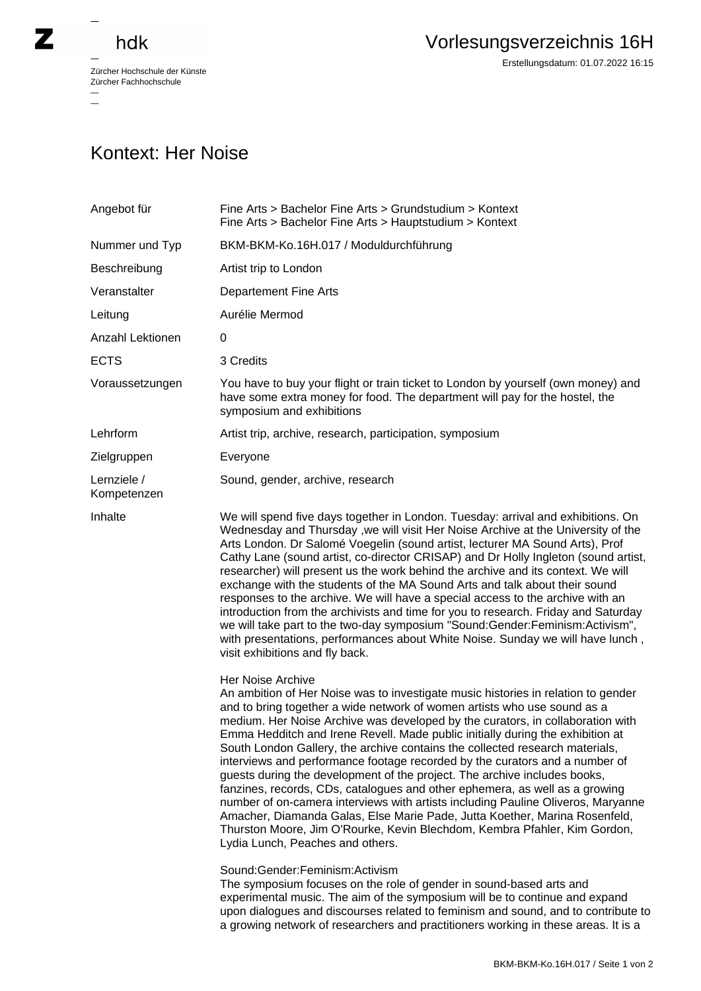## hdk

—

 $\overline{\phantom{a}}$ 

Zürcher Hochschule der Künste Zürcher Fachhochschule —

## Kontext: Her Noise

| Angebot für                | Fine Arts > Bachelor Fine Arts > Grundstudium > Kontext<br>Fine Arts > Bachelor Fine Arts > Hauptstudium > Kontext                                                                                                                                                                                                                                                                                                                                                                                                                                                                                                                                                                                                                                                                                                                                                                                                                                                   |
|----------------------------|----------------------------------------------------------------------------------------------------------------------------------------------------------------------------------------------------------------------------------------------------------------------------------------------------------------------------------------------------------------------------------------------------------------------------------------------------------------------------------------------------------------------------------------------------------------------------------------------------------------------------------------------------------------------------------------------------------------------------------------------------------------------------------------------------------------------------------------------------------------------------------------------------------------------------------------------------------------------|
| Nummer und Typ             | BKM-BKM-Ko.16H.017 / Moduldurchführung                                                                                                                                                                                                                                                                                                                                                                                                                                                                                                                                                                                                                                                                                                                                                                                                                                                                                                                               |
| Beschreibung               | Artist trip to London                                                                                                                                                                                                                                                                                                                                                                                                                                                                                                                                                                                                                                                                                                                                                                                                                                                                                                                                                |
| Veranstalter               | <b>Departement Fine Arts</b>                                                                                                                                                                                                                                                                                                                                                                                                                                                                                                                                                                                                                                                                                                                                                                                                                                                                                                                                         |
| Leitung                    | Aurélie Mermod                                                                                                                                                                                                                                                                                                                                                                                                                                                                                                                                                                                                                                                                                                                                                                                                                                                                                                                                                       |
| Anzahl Lektionen           | 0                                                                                                                                                                                                                                                                                                                                                                                                                                                                                                                                                                                                                                                                                                                                                                                                                                                                                                                                                                    |
| <b>ECTS</b>                | 3 Credits                                                                                                                                                                                                                                                                                                                                                                                                                                                                                                                                                                                                                                                                                                                                                                                                                                                                                                                                                            |
| Voraussetzungen            | You have to buy your flight or train ticket to London by yourself (own money) and<br>have some extra money for food. The department will pay for the hostel, the<br>symposium and exhibitions                                                                                                                                                                                                                                                                                                                                                                                                                                                                                                                                                                                                                                                                                                                                                                        |
| Lehrform                   | Artist trip, archive, research, participation, symposium                                                                                                                                                                                                                                                                                                                                                                                                                                                                                                                                                                                                                                                                                                                                                                                                                                                                                                             |
| Zielgruppen                | Everyone                                                                                                                                                                                                                                                                                                                                                                                                                                                                                                                                                                                                                                                                                                                                                                                                                                                                                                                                                             |
| Lernziele /<br>Kompetenzen | Sound, gender, archive, research                                                                                                                                                                                                                                                                                                                                                                                                                                                                                                                                                                                                                                                                                                                                                                                                                                                                                                                                     |
| Inhalte                    | We will spend five days together in London. Tuesday: arrival and exhibitions. On<br>Wednesday and Thursday, we will visit Her Noise Archive at the University of the<br>Arts London. Dr Salomé Voegelin (sound artist, lecturer MA Sound Arts), Prof<br>Cathy Lane (sound artist, co-director CRISAP) and Dr Holly Ingleton (sound artist,<br>researcher) will present us the work behind the archive and its context. We will<br>exchange with the students of the MA Sound Arts and talk about their sound<br>responses to the archive. We will have a special access to the archive with an<br>introduction from the archivists and time for you to research. Friday and Saturday<br>we will take part to the two-day symposium "Sound:Gender:Feminism:Activism",<br>with presentations, performances about White Noise. Sunday we will have lunch,<br>visit exhibitions and fly back.                                                                            |
|                            | Her Noise Archive<br>An ambition of Her Noise was to investigate music histories in relation to gender<br>and to bring together a wide network of women artists who use sound as a<br>medium. Her Noise Archive was developed by the curators, in collaboration with<br>Emma Hedditch and Irene Revell. Made public initially during the exhibition at<br>South London Gallery, the archive contains the collected research materials,<br>interviews and performance footage recorded by the curators and a number of<br>guests during the development of the project. The archive includes books,<br>fanzines, records, CDs, catalogues and other ephemera, as well as a growing<br>number of on-camera interviews with artists including Pauline Oliveros, Maryanne<br>Amacher, Diamanda Galas, Else Marie Pade, Jutta Koether, Marina Rosenfeld,<br>Thurston Moore, Jim O'Rourke, Kevin Blechdom, Kembra Pfahler, Kim Gordon,<br>Lydia Lunch, Peaches and others. |
|                            | Sound:Gender:Feminism:Activism<br>The symposium focuses on the role of gender in sound-based arts and<br>experimental music. The aim of the symposium will be to continue and expand<br>upon dialogues and discourses related to feminism and sound, and to contribute to<br>a growing network of researchers and practitioners working in these areas. It is a                                                                                                                                                                                                                                                                                                                                                                                                                                                                                                                                                                                                      |